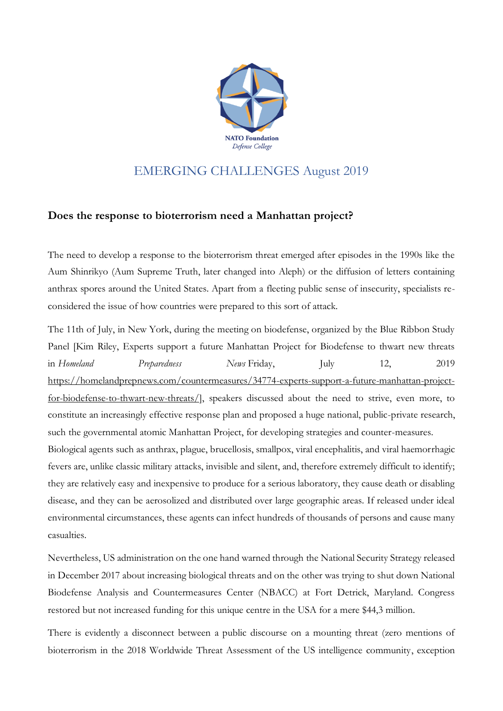

## EMERGING CHALLENGES August 2019

## **Does the response to bioterrorism need a Manhattan project?**

The need to develop a response to the bioterrorism threat emerged after episodes in the 1990s like the Aum Shinrikyo (Aum Supreme Truth, later changed into Aleph) or the diffusion of letters containing anthrax spores around the United States. Apart from a fleeting public sense of insecurity, specialists reconsidered the issue of how countries were prepared to this sort of attack.

The 11th of July, in New York, during the meeting on biodefense, organized by the Blue Ribbon Study Panel [Kim Riley, Experts support a future Manhattan Project for Biodefense to thwart new threats in *Homeland Preparedness News* Friday, July 12, 2019 [https://homelandprepnews.com/countermeasures/34774-experts-support-a-future-manhattan-project](https://homelandprepnews.com/countermeasures/34774-experts-support-a-future-manhattan-project-for-biodefense-to-thwart-new-threats/)[for-biodefense-to-thwart-new-threats/\]](https://homelandprepnews.com/countermeasures/34774-experts-support-a-future-manhattan-project-for-biodefense-to-thwart-new-threats/), speakers discussed about the need to strive, even more, to constitute an increasingly effective response plan and proposed a huge national, public-private research, such the governmental atomic Manhattan Project, for developing strategies and counter-measures.

Biological agents such as anthrax, plague, brucellosis, smallpox, viral encephalitis, and viral haemorrhagic fevers are, unlike classic military attacks, invisible and silent, and, therefore extremely difficult to identify; they are relatively easy and inexpensive to produce for a serious laboratory, they cause death or disabling disease, and they can be aerosolized and distributed over large geographic areas. If released under ideal environmental circumstances, these agents can infect hundreds of thousands of persons and cause many casualties.

Nevertheless, US administration on the one hand warned through the National Security Strategy released in December 2017 about increasing biological threats and on the other was trying to shut down National Biodefense Analysis and Countermeasures Center (NBACC) at Fort Detrick, Maryland. Congress restored but not increased funding for this unique centre in the USA for a mere \$44,3 million.

There is evidently a disconnect between a public discourse on a mounting threat (zero mentions of bioterrorism in the 2018 Worldwide Threat Assessment of the US intelligence community, exception